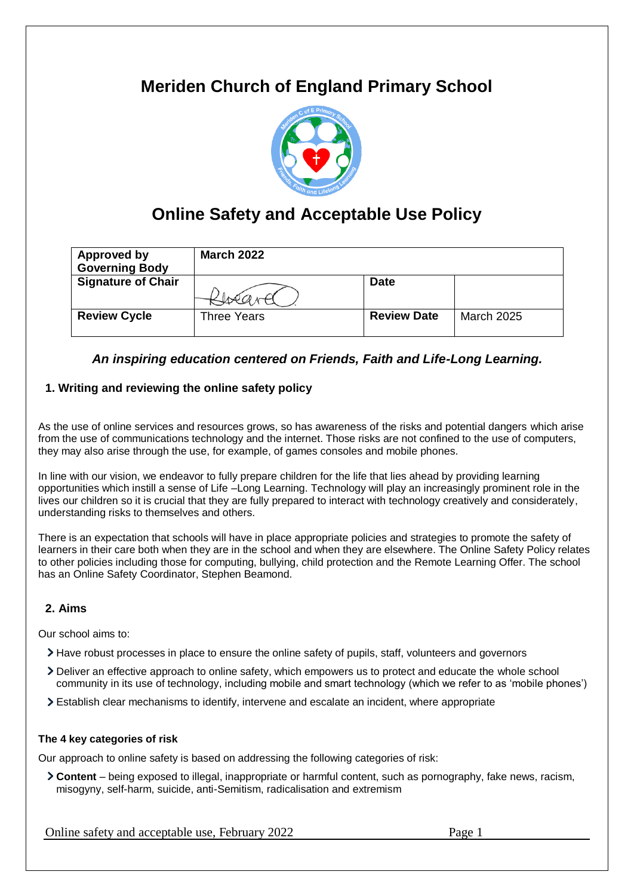# **Meriden Church of England Primary School**



# **Online Safety and Acceptable Use Policy**

| <b>Approved by</b><br><b>Governing Body</b> | <b>March 2022</b> |                    |                   |
|---------------------------------------------|-------------------|--------------------|-------------------|
| <b>Signature of Chair</b>                   |                   | <b>Date</b>        |                   |
| <b>Review Cycle</b>                         | Three Years       | <b>Review Date</b> | <b>March 2025</b> |

# *An inspiring education centered on Friends, Faith and Life-Long Learning.*

## **1. Writing and reviewing the online safety policy**

As the use of online services and resources grows, so has awareness of the risks and potential dangers which arise from the use of communications technology and the internet. Those risks are not confined to the use of computers, they may also arise through the use, for example, of games consoles and mobile phones.

In line with our vision, we endeavor to fully prepare children for the life that lies ahead by providing learning opportunities which instill a sense of Life –Long Learning. Technology will play an increasingly prominent role in the lives our children so it is crucial that they are fully prepared to interact with technology creatively and considerately, understanding risks to themselves and others.

There is an expectation that schools will have in place appropriate policies and strategies to promote the safety of learners in their care both when they are in the school and when they are elsewhere. The Online Safety Policy relates to other policies including those for computing, bullying, child protection and the Remote Learning Offer. The school has an Online Safety Coordinator, Stephen Beamond.

#### **2. Aims**

Our school aims to:

- Have robust processes in place to ensure the online safety of pupils, staff, volunteers and governors
- Deliver an effective approach to online safety, which empowers us to protect and educate the whole school community in its use of technology, including mobile and smart technology (which we refer to as 'mobile phones')
- Establish clear mechanisms to identify, intervene and escalate an incident, where appropriate

#### **The 4 key categories of risk**

Our approach to online safety is based on addressing the following categories of risk:

**Content** – being exposed to illegal, inappropriate or harmful content, such as pornography, fake news, racism, misogyny, self-harm, suicide, anti-Semitism, radicalisation and extremism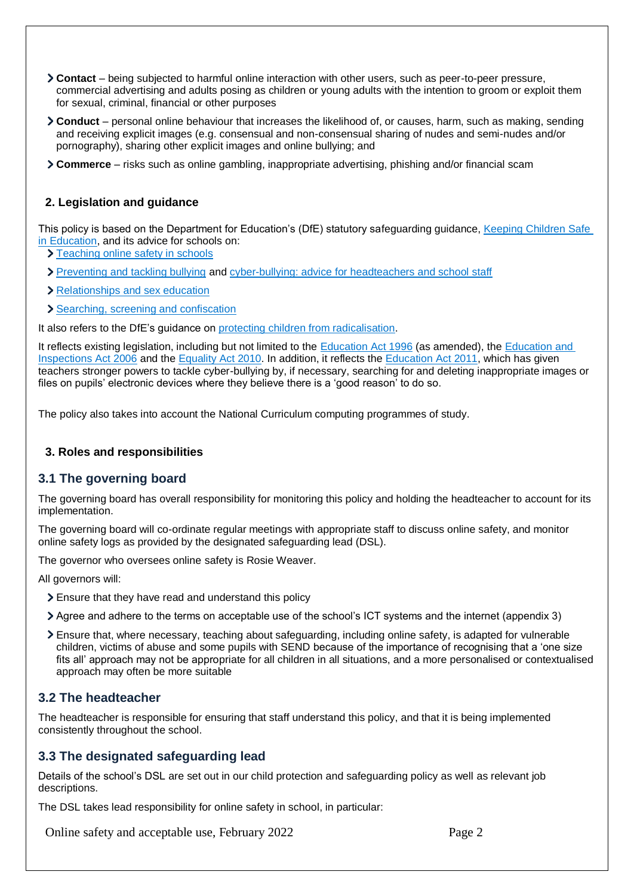- **Contact** being subjected to harmful online interaction with other users, such as peer-to-peer pressure, commercial advertising and adults posing as children or young adults with the intention to groom or exploit them for sexual, criminal, financial or other purposes
- **Conduct** personal online behaviour that increases the likelihood of, or causes, harm, such as making, sending and receiving explicit images (e.g. consensual and non-consensual sharing of nudes and semi-nudes and/or pornography), sharing other explicit images and online bullying; and
- **Commerce** risks such as online gambling, inappropriate advertising, phishing and/or financial scam

#### **2. Legislation and guidance**

This policy is based on the Department for Education's (DfE) statutory safeguarding guidance, [Keeping Children Safe](https://www.gov.uk/government/publications/keeping-children-safe-in-education--2)  [in Education,](https://www.gov.uk/government/publications/keeping-children-safe-in-education--2) and its advice for schools on:

- > [Teaching online safety in schools](https://www.gov.uk/government/publications/teaching-online-safety-in-schools)
- > [Preventing and tackling bullying](https://www.gov.uk/government/publications/preventing-and-tackling-bullying) and [cyber-bullying: advice for headteachers and school staff](https://www.gov.uk/government/publications/preventing-and-tackling-bullying)
- > [Relationships and sex education](https://www.gov.uk/government/publications/relationships-education-relationships-and-sex-education-rse-and-health-education)
- [Searching, screening and confiscation](https://www.gov.uk/government/publications/searching-screening-and-confiscation)

It also refers to the DfE's guidance on [protecting children from radicalisation.](https://www.gov.uk/government/publications/protecting-children-from-radicalisation-the-prevent-duty)

It reflects existing legislation, including but not limited to the [Education Act 1996](https://www.legislation.gov.uk/ukpga/1996/56/contents) (as amended), the [Education and](https://www.legislation.gov.uk/ukpga/2006/40/contents)  [Inspections Act 2006](https://www.legislation.gov.uk/ukpga/2006/40/contents) and the [Equality Act 2010.](https://www.legislation.gov.uk/ukpga/2010/15/contents) In addition, it reflects the [Education Act 2011,](http://www.legislation.gov.uk/ukpga/2011/21/contents/enacted) which has given teachers stronger powers to tackle cyber-bullying by, if necessary, searching for and deleting inappropriate images or files on pupils' electronic devices where they believe there is a 'good reason' to do so.

The policy also takes into account the National Curriculum computing programmes of study.

#### **3. Roles and responsibilities**

#### **3.1 The governing board**

The governing board has overall responsibility for monitoring this policy and holding the headteacher to account for its implementation.

The governing board will co-ordinate regular meetings with appropriate staff to discuss online safety, and monitor online safety logs as provided by the designated safeguarding lead (DSL).

The governor who oversees online safety is Rosie Weaver.

All governors will:

- Ensure that they have read and understand this policy
- Agree and adhere to the terms on acceptable use of the school's ICT systems and the internet (appendix 3)
- Ensure that, where necessary, teaching about safeguarding, including online safety, is adapted for vulnerable children, victims of abuse and some pupils with SEND because of the importance of recognising that a 'one size fits all' approach may not be appropriate for all children in all situations, and a more personalised or contextualised approach may often be more suitable

## **3.2 The headteacher**

The headteacher is responsible for ensuring that staff understand this policy, and that it is being implemented consistently throughout the school.

#### **3.3 The designated safeguarding lead**

Details of the school's DSL are set out in our child protection and safeguarding policy as well as relevant job descriptions.

The DSL takes lead responsibility for online safety in school, in particular: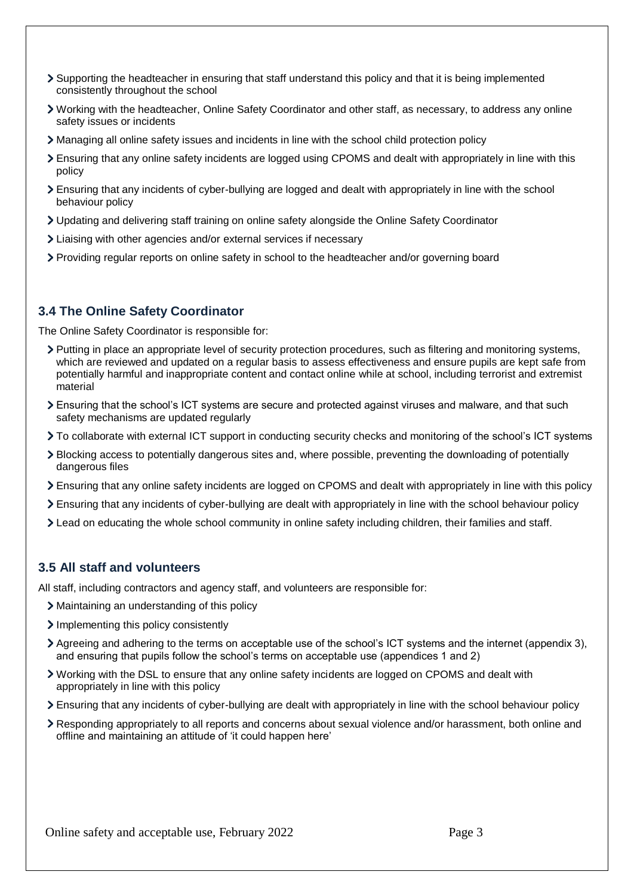- Supporting the headteacher in ensuring that staff understand this policy and that it is being implemented consistently throughout the school
- Working with the headteacher, Online Safety Coordinator and other staff, as necessary, to address any online safety issues or incidents
- Managing all online safety issues and incidents in line with the school child protection policy
- Ensuring that any online safety incidents are logged using CPOMS and dealt with appropriately in line with this policy
- Ensuring that any incidents of cyber-bullying are logged and dealt with appropriately in line with the school behaviour policy
- Updating and delivering staff training on online safety alongside the Online Safety Coordinator
- Liaising with other agencies and/or external services if necessary
- Providing regular reports on online safety in school to the headteacher and/or governing board

## **3.4 The Online Safety Coordinator**

The Online Safety Coordinator is responsible for:

- Putting in place an appropriate level of security protection procedures, such as filtering and monitoring systems, which are reviewed and updated on a regular basis to assess effectiveness and ensure pupils are kept safe from potentially harmful and inappropriate content and contact online while at school, including terrorist and extremist material
- Ensuring that the school's ICT systems are secure and protected against viruses and malware, and that such safety mechanisms are updated regularly
- To collaborate with external ICT support in conducting security checks and monitoring of the school's ICT systems
- Blocking access to potentially dangerous sites and, where possible, preventing the downloading of potentially dangerous files
- Ensuring that any online safety incidents are logged on CPOMS and dealt with appropriately in line with this policy
- Ensuring that any incidents of cyber-bullying are dealt with appropriately in line with the school behaviour policy
- Lead on educating the whole school community in online safety including children, their families and staff.

#### **3.5 All staff and volunteers**

All staff, including contractors and agency staff, and volunteers are responsible for:

- Maintaining an understanding of this policy
- Implementing this policy consistently
- Agreeing and adhering to the terms on acceptable use of the school's ICT systems and the internet (appendix 3), and ensuring that pupils follow the school's terms on acceptable use (appendices 1 and 2)
- Working with the DSL to ensure that any online safety incidents are logged on CPOMS and dealt with appropriately in line with this policy
- Ensuring that any incidents of cyber-bullying are dealt with appropriately in line with the school behaviour policy
- Responding appropriately to all reports and concerns about sexual violence and/or harassment, both online and offline and maintaining an attitude of 'it could happen here'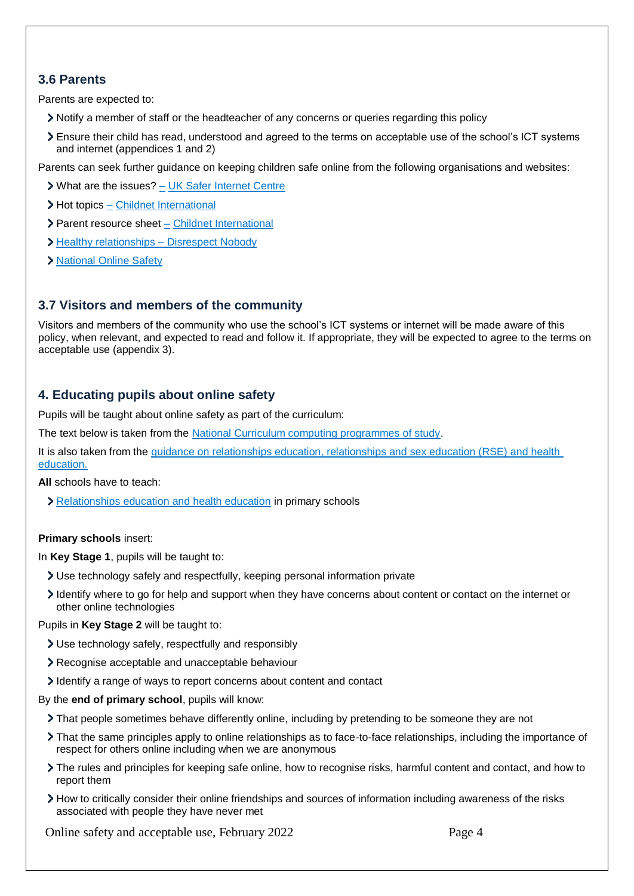# **3.6 Parents**

Parents are expected to:

- Notify a member of staff or the headteacher of any concerns or queries regarding this policy
- Ensure their child has read, understood and agreed to the terms on acceptable use of the school's ICT systems and internet (appendices 1 and 2)

Parents can seek further guidance on keeping children safe online from the following organisations and websites:

- What are the issues? [UK Safer Internet Centre](https://www.saferinternet.org.uk/advice-centre/parents-and-carers/what-are-issues)
- > Hot topics [Childnet International](http://www.childnet.com/parents-and-carers/hot-topics)
- Parent resource sheet [Childnet International](https://www.childnet.com/resources/parents-and-carers-resource-sheet)
- > Healthy relationships [Disrespect Nobody](https://www.disrespectnobody.co.uk/)
- > [National Online Safety](https://nationalonlinesafety.com/enrol/meriden-c-of-e-primary-school)

# **3.7 Visitors and members of the community**

Visitors and members of the community who use the school's ICT systems or internet will be made aware of this policy, when relevant, and expected to read and follow it. If appropriate, they will be expected to agree to the terms on acceptable use (appendix 3).

# **4. Educating pupils about online safety**

Pupils will be taught about online safety as part of the curriculum:

The text below is taken from the [National Curriculum computing programmes of study.](https://www.gov.uk/government/publications/national-curriculum-in-england-computing-programmes-of-study/national-curriculum-in-england-computing-programmes-of-study)

It is also taken from the [guidance on relationships education, relationships and sex education \(RSE\) and health](https://www.gov.uk/government/publications/relationships-education-relationships-and-sex-education-rse-and-health-education)  [education.](https://www.gov.uk/government/publications/relationships-education-relationships-and-sex-education-rse-and-health-education)

**All** schools have to teach:

[Relationships education and health education](https://schoolleaders.thekeysupport.com/uid/8b76f587-7bf6-4994-abf0-43850c6e8d73/) in primary schools

#### **Primary schools** insert:

In **Key Stage 1**, pupils will be taught to:

- Use technology safely and respectfully, keeping personal information private
- Identify where to go for help and support when they have concerns about content or contact on the internet or other online technologies

#### Pupils in **Key Stage 2** will be taught to:

- Use technology safely, respectfully and responsibly
- Recognise acceptable and unacceptable behaviour
- Identify a range of ways to report concerns about content and contact

#### By the **end of primary school**, pupils will know:

- That people sometimes behave differently online, including by pretending to be someone they are not
- That the same principles apply to online relationships as to face-to-face relationships, including the importance of respect for others online including when we are anonymous
- The rules and principles for keeping safe online, how to recognise risks, harmful content and contact, and how to report them
- How to critically consider their online friendships and sources of information including awareness of the risks associated with people they have never met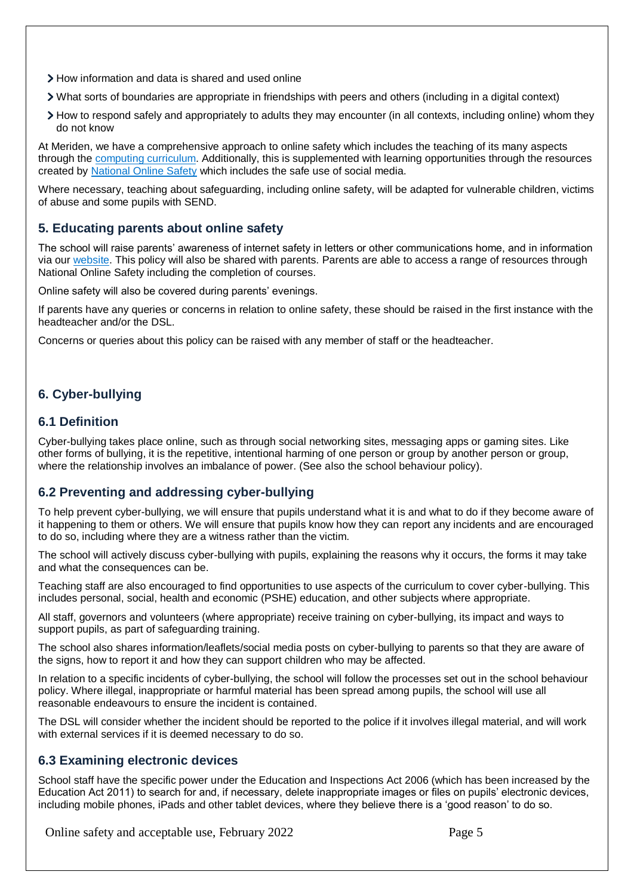- How information and data is shared and used online
- What sorts of boundaries are appropriate in friendships with peers and others (including in a digital context)
- How to respond safely and appropriately to adults they may encounter (in all contexts, including online) whom they do not know

At Meriden, we have a comprehensive approach to online safety which includes the teaching of its many aspects through the [computing curriculum.](https://www.meridenceprimaryschool.com/_files/ugd/566f67_27903ec9cb8941708ad8197e3f0e5852.pdf) Additionally, this is supplemented with learning opportunities through the resources created by [National Online Safety](https://nationalonlinesafety.com/) which includes the safe use of social media.

Where necessary, teaching about safeguarding, including online safety, will be adapted for vulnerable children, victims of abuse and some pupils with SEND.

## **5. Educating parents about online safety**

The school will raise parents' awareness of internet safety in letters or other communications home, and in information via our [website.](https://www.meridenceprimaryschool.com/online-safety) This policy will also be shared with parents. Parents are able to access a range of resources through National Online Safety including the completion of courses.

Online safety will also be covered during parents' evenings.

If parents have any queries or concerns in relation to online safety, these should be raised in the first instance with the headteacher and/or the DSL.

Concerns or queries about this policy can be raised with any member of staff or the headteacher.

# **6. Cyber-bullying**

#### **6.1 Definition**

Cyber-bullying takes place online, such as through social networking sites, messaging apps or gaming sites. Like other forms of bullying, it is the repetitive, intentional harming of one person or group by another person or group, where the relationship involves an imbalance of power. (See also the school behaviour policy).

## **6.2 Preventing and addressing cyber-bullying**

To help prevent cyber-bullying, we will ensure that pupils understand what it is and what to do if they become aware of it happening to them or others. We will ensure that pupils know how they can report any incidents and are encouraged to do so, including where they are a witness rather than the victim.

The school will actively discuss cyber-bullying with pupils, explaining the reasons why it occurs, the forms it may take and what the consequences can be.

Teaching staff are also encouraged to find opportunities to use aspects of the curriculum to cover cyber-bullying. This includes personal, social, health and economic (PSHE) education, and other subjects where appropriate.

All staff, governors and volunteers (where appropriate) receive training on cyber-bullying, its impact and ways to support pupils, as part of safeguarding training.

The school also shares information/leaflets/social media posts on cyber-bullying to parents so that they are aware of the signs, how to report it and how they can support children who may be affected.

In relation to a specific incidents of cyber-bullying, the school will follow the processes set out in the school behaviour policy. Where illegal, inappropriate or harmful material has been spread among pupils, the school will use all reasonable endeavours to ensure the incident is contained.

The DSL will consider whether the incident should be reported to the police if it involves illegal material, and will work with external services if it is deemed necessary to do so.

#### **6.3 Examining electronic devices**

School staff have the specific power under the Education and Inspections Act 2006 (which has been increased by the Education Act 2011) to search for and, if necessary, delete inappropriate images or files on pupils' electronic devices, including mobile phones, iPads and other tablet devices, where they believe there is a 'good reason' to do so.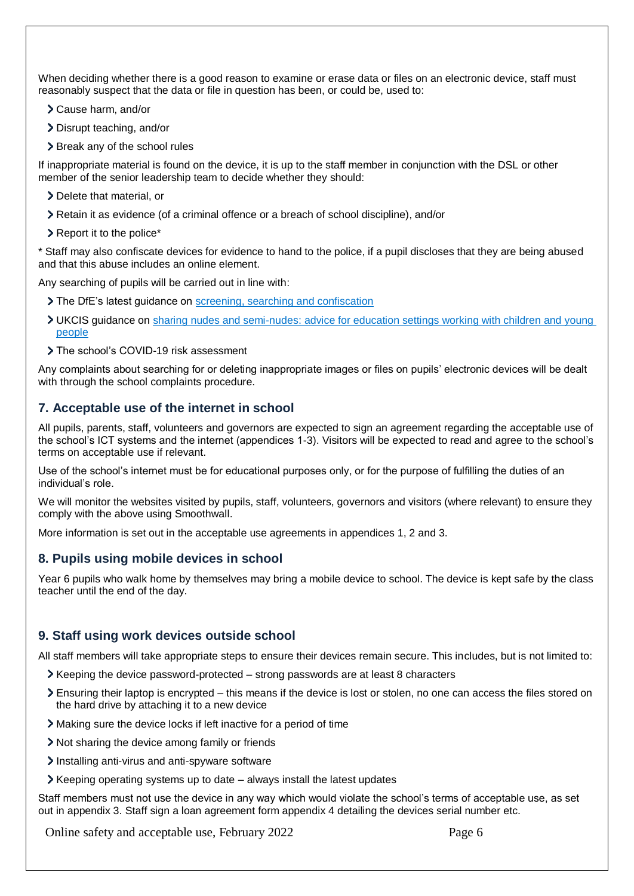When deciding whether there is a good reason to examine or erase data or files on an electronic device, staff must reasonably suspect that the data or file in question has been, or could be, used to:

- Cause harm, and/or
- Disrupt teaching, and/or
- > Break any of the school rules

If inappropriate material is found on the device, it is up to the staff member in conjunction with the DSL or other member of the senior leadership team to decide whether they should:

- > Delete that material, or
- Retain it as evidence (of a criminal offence or a breach of school discipline), and/or
- $\geq$  Report it to the police\*

\* Staff may also confiscate devices for evidence to hand to the police, if a pupil discloses that they are being abused and that this abuse includes an online element.

Any searching of pupils will be carried out in line with:

- The DfE's latest guidance on [screening, searching and confiscation](https://www.gov.uk/government/publications/searching-screening-and-confiscation)
- UKCIS guidance on [sharing nudes and semi-nudes: advice for education settings working with children and young](https://www.gov.uk/government/publications/sharing-nudes-and-semi-nudes-advice-for-education-settings-working-with-children-and-young-people)  [people](https://www.gov.uk/government/publications/sharing-nudes-and-semi-nudes-advice-for-education-settings-working-with-children-and-young-people)
- > The school's COVID-19 risk assessment

Any complaints about searching for or deleting inappropriate images or files on pupils' electronic devices will be dealt with through the school complaints procedure.

## **7. Acceptable use of the internet in school**

All pupils, parents, staff, volunteers and governors are expected to sign an agreement regarding the acceptable use of the school's ICT systems and the internet (appendices 1-3). Visitors will be expected to read and agree to the school's terms on acceptable use if relevant.

Use of the school's internet must be for educational purposes only, or for the purpose of fulfilling the duties of an individual's role.

We will monitor the websites visited by pupils, staff, volunteers, governors and visitors (where relevant) to ensure they comply with the above using Smoothwall.

More information is set out in the acceptable use agreements in appendices 1, 2 and 3.

#### **8. Pupils using mobile devices in school**

Year 6 pupils who walk home by themselves may bring a mobile device to school. The device is kept safe by the class teacher until the end of the day.

#### **9. Staff using work devices outside school**

All staff members will take appropriate steps to ensure their devices remain secure. This includes, but is not limited to:

- $\triangleright$  Keeping the device password-protected strong passwords are at least 8 characters
- Ensuring their laptop is encrypted this means if the device is lost or stolen, no one can access the files stored on the hard drive by attaching it to a new device
- Making sure the device locks if left inactive for a period of time
- Not sharing the device among family or friends
- Installing anti-virus and anti-spyware software
- $\blacktriangleright$  Keeping operating systems up to date always install the latest updates

Staff members must not use the device in any way which would violate the school's terms of acceptable use, as set out in appendix 3. Staff sign a loan agreement form appendix 4 detailing the devices serial number etc.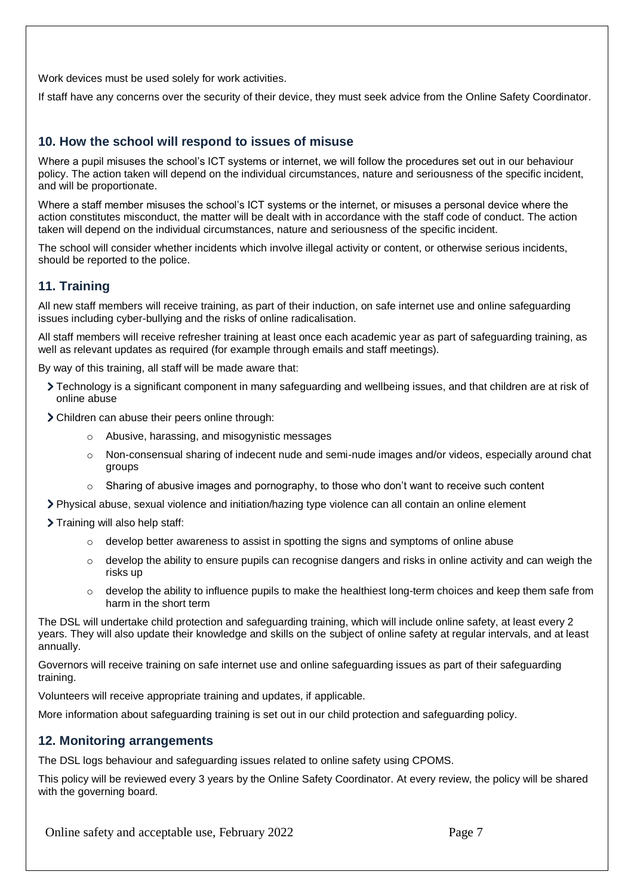Work devices must be used solely for work activities.

If staff have any concerns over the security of their device, they must seek advice from the Online Safety Coordinator.

## **10. How the school will respond to issues of misuse**

Where a pupil misuses the school's ICT systems or internet, we will follow the procedures set out in our behaviour policy. The action taken will depend on the individual circumstances, nature and seriousness of the specific incident, and will be proportionate.

Where a staff member misuses the school's ICT systems or the internet, or misuses a personal device where the action constitutes misconduct, the matter will be dealt with in accordance with the staff code of conduct. The action taken will depend on the individual circumstances, nature and seriousness of the specific incident.

The school will consider whether incidents which involve illegal activity or content, or otherwise serious incidents, should be reported to the police.

## **11. Training**

All new staff members will receive training, as part of their induction, on safe internet use and online safeguarding issues including cyber-bullying and the risks of online radicalisation.

All staff members will receive refresher training at least once each academic year as part of safeguarding training, as well as relevant updates as required (for example through emails and staff meetings).

By way of this training, all staff will be made aware that:

- Technology is a significant component in many safeguarding and wellbeing issues, and that children are at risk of online abuse
- Children can abuse their peers online through:
	- o Abusive, harassing, and misogynistic messages
	- o Non-consensual sharing of indecent nude and semi-nude images and/or videos, especially around chat groups
	- $\circ$  Sharing of abusive images and pornography, to those who don't want to receive such content
- Physical abuse, sexual violence and initiation/hazing type violence can all contain an online element

> Training will also help staff:

- $\circ$  develop better awareness to assist in spotting the signs and symptoms of online abuse
- $\circ$  develop the ability to ensure pupils can recognise dangers and risks in online activity and can weigh the risks up
- $\circ$  develop the ability to influence pupils to make the healthiest long-term choices and keep them safe from harm in the short term

The DSL will undertake child protection and safeguarding training, which will include online safety, at least every 2 years. They will also update their knowledge and skills on the subject of online safety at regular intervals, and at least annually.

Governors will receive training on safe internet use and online safeguarding issues as part of their safeguarding training.

Volunteers will receive appropriate training and updates, if applicable.

More information about safeguarding training is set out in our child protection and safeguarding policy.

#### **12. Monitoring arrangements**

The DSL logs behaviour and safeguarding issues related to online safety using CPOMS.

This policy will be reviewed every 3 years by the Online Safety Coordinator. At every review, the policy will be shared with the governing board.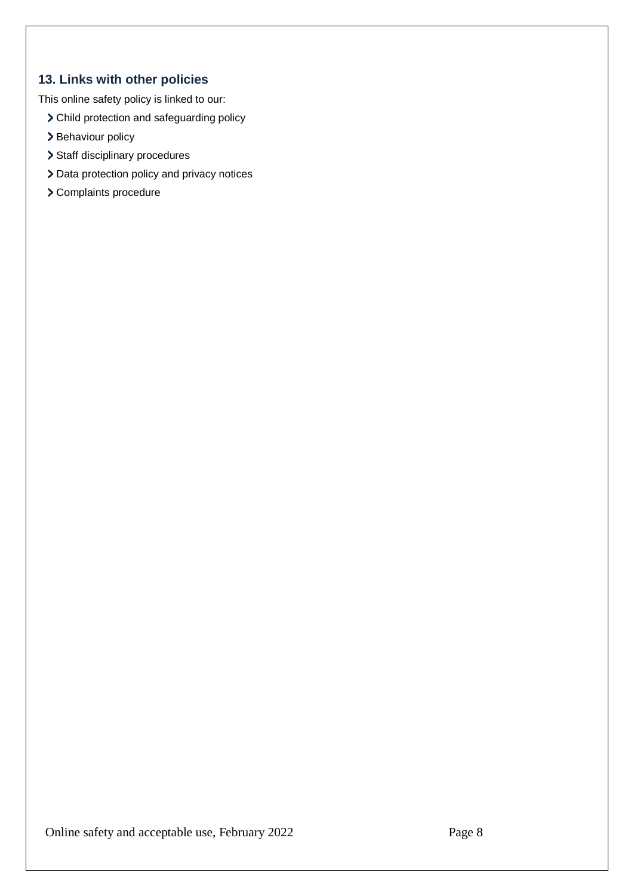# **13. Links with other policies**

This online safety policy is linked to our:

- Child protection and safeguarding policy
- > Behaviour policy
- > Staff disciplinary procedures
- > Data protection policy and privacy notices
- Complaints procedure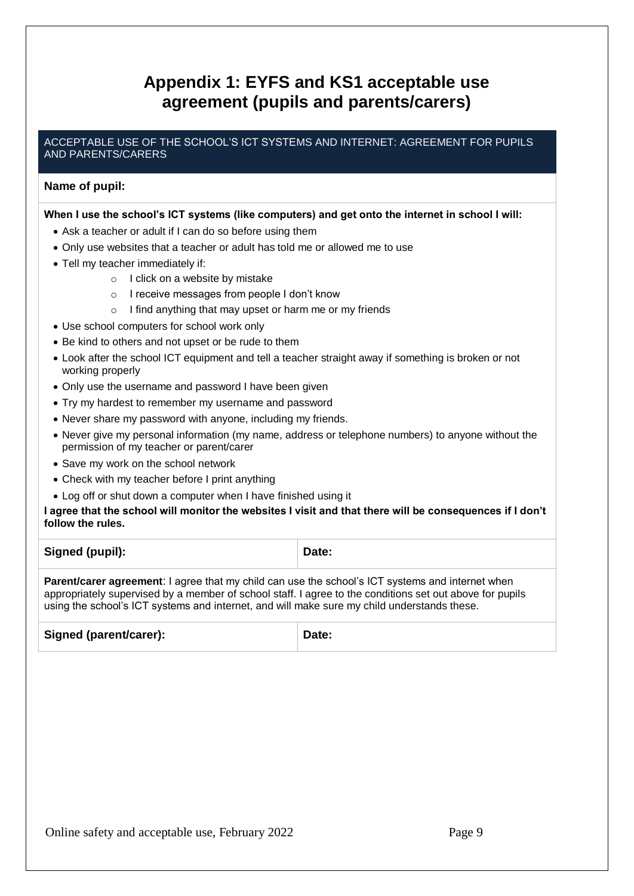# **Appendix 1: EYFS and KS1 acceptable use agreement (pupils and parents/carers)**

#### ACCEPTABLE USE OF THE SCHOOL'S ICT SYSTEMS AND INTERNET: AGREEMENT FOR PUPILS AND PARENTS/CARERS

## **Name of pupil:**

#### **When I use the school's ICT systems (like computers) and get onto the internet in school I will:**

- Ask a teacher or adult if I can do so before using them
- Only use websites that a teacher or adult has told me or allowed me to use
- Tell my teacher immediately if:
	- o I click on a website by mistake
	- o I receive messages from people I don't know
	- o I find anything that may upset or harm me or my friends
- Use school computers for school work only
- Be kind to others and not upset or be rude to them
- Look after the school ICT equipment and tell a teacher straight away if something is broken or not working properly
- Only use the username and password I have been given
- Try my hardest to remember my username and password
- Never share my password with anyone, including my friends.
- Never give my personal information (my name, address or telephone numbers) to anyone without the permission of my teacher or parent/carer
- Save my work on the school network
- Check with my teacher before I print anything
- Log off or shut down a computer when I have finished using it

#### **I agree that the school will monitor the websites I visit and that there will be consequences if I don't follow the rules.**

| Signed (pupil):                                                                                                                                                                                                     | Date: |
|---------------------------------------------------------------------------------------------------------------------------------------------------------------------------------------------------------------------|-------|
| <b>Parent/carer agreement:</b> I agree that my child can use the school's ICT systems and internet when<br>appropriately supervised by a member of school staff. I agree to the conditions set out above for pupils |       |

appropriately supervised by a member of school staff. I agree to the conditions set out above for pupils using the school's ICT systems and internet, and will make sure my child understands these.

| <b>Signed (parent/carer):</b> | Date: |
|-------------------------------|-------|
|                               |       |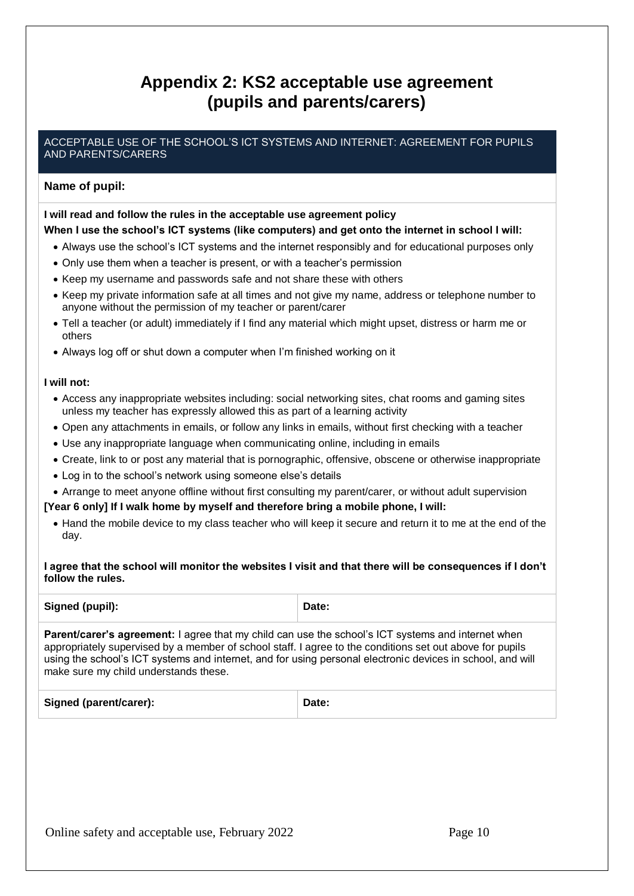# **Appendix 2: KS2 acceptable use agreement (pupils and parents/carers)**

## ACCEPTABLE USE OF THE SCHOOL'S ICT SYSTEMS AND INTERNET: AGREEMENT FOR PUPILS AND PARENTS/CARERS

## **Name of pupil:**

#### **I will read and follow the rules in the acceptable use agreement policy When I use the school's ICT systems (like computers) and get onto the internet in school I will:**

- Always use the school's ICT systems and the internet responsibly and for educational purposes only
- Only use them when a teacher is present, or with a teacher's permission
- Keep my username and passwords safe and not share these with others
- Keep my private information safe at all times and not give my name, address or telephone number to anyone without the permission of my teacher or parent/carer
- Tell a teacher (or adult) immediately if I find any material which might upset, distress or harm me or others
- Always log off or shut down a computer when I'm finished working on it

#### **I will not:**

- Access any inappropriate websites including: social networking sites, chat rooms and gaming sites unless my teacher has expressly allowed this as part of a learning activity
- Open any attachments in emails, or follow any links in emails, without first checking with a teacher
- Use any inappropriate language when communicating online, including in emails
- Create, link to or post any material that is pornographic, offensive, obscene or otherwise inappropriate
- Log in to the school's network using someone else's details
- Arrange to meet anyone offline without first consulting my parent/carer, or without adult supervision

#### **[Year 6 only] If I walk home by myself and therefore bring a mobile phone, I will:**

 Hand the mobile device to my class teacher who will keep it secure and return it to me at the end of the day.

**I agree that the school will monitor the websites I visit and that there will be consequences if I don't follow the rules.**

| Signed (pupil):                                                                                          | Date: |
|----------------------------------------------------------------------------------------------------------|-------|
| <b>Parant/carer's agreement:</b> Lagree that my child can use the school's ICT systems and internet when |       |

**agreement:** I agree that my child can use the school's IC<sup>-</sup> appropriately supervised by a member of school staff. I agree to the conditions set out above for pupils using the school's ICT systems and internet, and for using personal electronic devices in school, and will make sure my child understands these.

|  | <b>Signed (parent/carer):</b><br>Date: |  |
|--|----------------------------------------|--|
|--|----------------------------------------|--|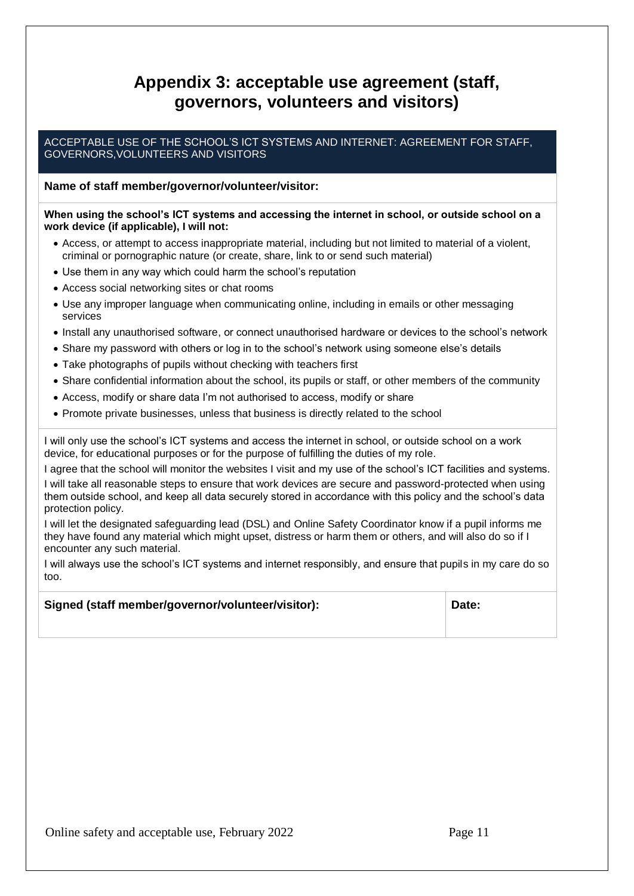# **Appendix 3: acceptable use agreement (staff, governors, volunteers and visitors)**

#### ACCEPTABLE USE OF THE SCHOOL'S ICT SYSTEMS AND INTERNET: AGREEMENT FOR STAFF, GOVERNORS,VOLUNTEERS AND VISITORS

## **Name of staff member/governor/volunteer/visitor:**

#### **When using the school's ICT systems and accessing the internet in school, or outside school on a work device (if applicable), I will not:**

- Access, or attempt to access inappropriate material, including but not limited to material of a violent, criminal or pornographic nature (or create, share, link to or send such material)
- Use them in any way which could harm the school's reputation
- Access social networking sites or chat rooms
- Use any improper language when communicating online, including in emails or other messaging services
- Install any unauthorised software, or connect unauthorised hardware or devices to the school's network
- Share my password with others or log in to the school's network using someone else's details
- Take photographs of pupils without checking with teachers first
- Share confidential information about the school, its pupils or staff, or other members of the community
- Access, modify or share data I'm not authorised to access, modify or share
- Promote private businesses, unless that business is directly related to the school

I will only use the school's ICT systems and access the internet in school, or outside school on a work device, for educational purposes or for the purpose of fulfilling the duties of my role.

I agree that the school will monitor the websites I visit and my use of the school's ICT facilities and systems.

I will take all reasonable steps to ensure that work devices are secure and password-protected when using them outside school, and keep all data securely stored in accordance with this policy and the school's data protection policy.

I will let the designated safeguarding lead (DSL) and Online Safety Coordinator know if a pupil informs me they have found any material which might upset, distress or harm them or others, and will also do so if I encounter any such material.

I will always use the school's ICT systems and internet responsibly, and ensure that pupils in my care do so too.

#### **Signed (staff member/governor/volunteer/visitor): Date:**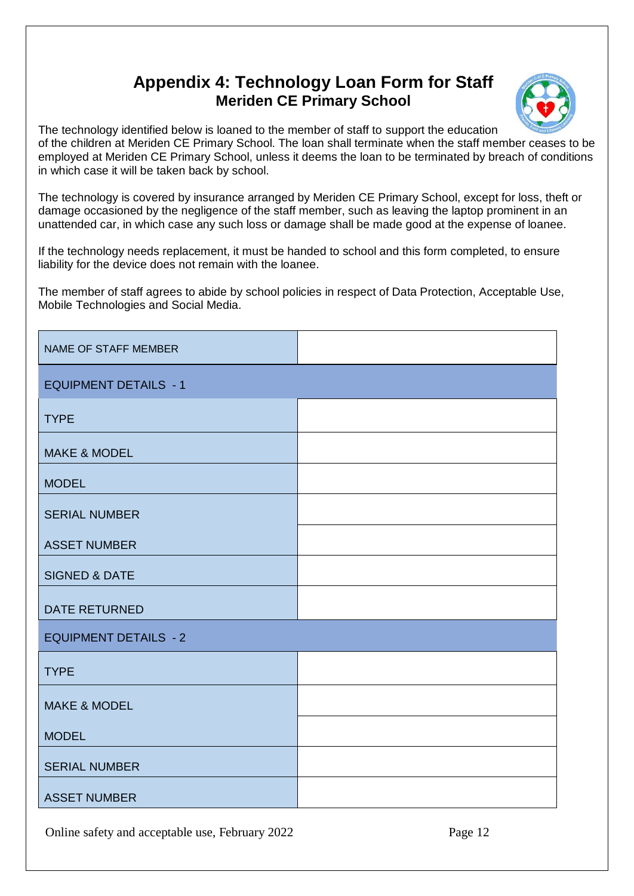# **Appendix 4: Technology Loan Form for Staff Meriden CE Primary School**



The technology identified below is loaned to the member of staff to support the education of the children at Meriden CE Primary School. The loan shall terminate when the staff member ceases to be employed at Meriden CE Primary School, unless it deems the loan to be terminated by breach of conditions in which case it will be taken back by school.

The technology is covered by insurance arranged by Meriden CE Primary School, except for loss, theft or damage occasioned by the negligence of the staff member, such as leaving the laptop prominent in an unattended car, in which case any such loss or damage shall be made good at the expense of loanee.

If the technology needs replacement, it must be handed to school and this form completed, to ensure liability for the device does not remain with the loanee.

The member of staff agrees to abide by school policies in respect of Data Protection, Acceptable Use, Mobile Technologies and Social Media.

| NAME OF STAFF MEMBER         |  |
|------------------------------|--|
| <b>EQUIPMENT DETAILS - 1</b> |  |
| <b>TYPE</b>                  |  |
| <b>MAKE &amp; MODEL</b>      |  |
| <b>MODEL</b>                 |  |
| <b>SERIAL NUMBER</b>         |  |
| <b>ASSET NUMBER</b>          |  |
| <b>SIGNED &amp; DATE</b>     |  |
| <b>DATE RETURNED</b>         |  |
| <b>EQUIPMENT DETAILS - 2</b> |  |
| <b>TYPE</b>                  |  |
| <b>MAKE &amp; MODEL</b>      |  |
| <b>MODEL</b>                 |  |
| <b>SERIAL NUMBER</b>         |  |
| <b>ASSET NUMBER</b>          |  |